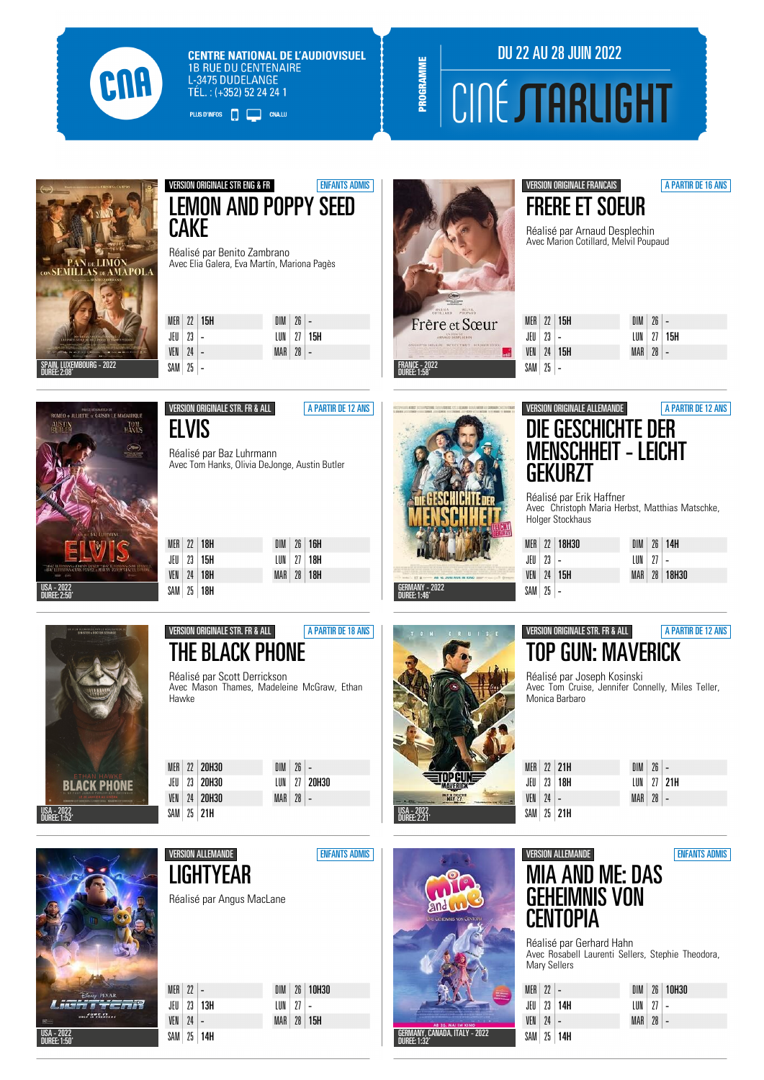

**CENTRE NATIONAL DE L'AUDIOVISUEL 1B RUE DU CENTENAIRE L-3475 DUDELANGE** TÉL.: (+352) 52 24 24 1

PLUS D'INFOS **DE LA CONALLU** 

## DU 22 AU 28 JUIN 2022 **CINÉ STARLIGHT**



#### VERSION ORIGINALE STR ENG & FR<br>ENFANTS ADMIS LEMON AND POPPY SEED **CAKE**

Réalisé par Benito Zambrano Avec Elia Galera, Eva Martín, Mariona Pagès

|                  | MER $22$ 15H | $DIM$   26   $-$ |                |
|------------------|--------------|------------------|----------------|
| JEU   23   $-$   |              |                  | $LUN$ 27   15H |
| $VEN$   24   $-$ |              | $MAR$ 28 -       |                |
| SAM 25 -         |              |                  |                |



PROGRAMME

#### VERSION ORIGINALE FRANCAIS **A PARTIR DE 16 ANS** FRERE ET SOEUR

Réalisé par Arnaud Desplechin Avec Marion Cotillard, Melvil Poupaud

MFR  $22$  15H  $JFI$  23 VEN  $24$  15H  $SAM$  25 - $\overline{DM}$   $\overline{26}$ LUN 27 15H  $MAR$   $28$ 



ELVIS

VERSION ORIGINALE STR. FR & ALL **A PARTIR DE 12 ANS** 

Réalisé par Baz Luhrmann Avec Tom Hanks, Olivia DeJonge, Austin Butler

|  | $MER$ 22 18H     |  | $DIM$ $26$ 16H   |  |
|--|------------------|--|------------------|--|
|  | JEU   23   15H   |  | $LUN$   27   18H |  |
|  | $VFN$   24   18H |  | $MAR$ 28 18H     |  |
|  | SAM 25 18H       |  |                  |  |



#### VERSION ORIGINALE ALLEMANDE **A PARTIR DE 12 ANS** DIE GESCHICHTE DER MENSCHHEIT - LEICHT GEKURZT

Réalisé par Erik Haffner Avec Christoph Maria Herbst, Matthias Matschke, Holger Stockhaus

|              | MER 22 18H30        |              | $DIM$ 26 14H |
|--------------|---------------------|--------------|--------------|
| JEU   23   - |                     | $LUN$ 27 $-$ |              |
|              | VEN $\mid$ 24   15H |              | MAR 28 18H30 |
| $SAM$ 25 $-$ |                     |              |              |



VERSION ORIGINALE STR. FR & ALL **A PARTIR DE 18 ANS** THE BLACK PHONE

Réalisé par Scott Derrickson Avec Mason Thames, Madeleine McGraw, Ethan Hawke

MER 22 20H30 JEU 23 20H30 VEN 24 20H30 SAM 25 21H

 $\overline{\phantom{a}}$ 

 $VEN$  24 -SAM 25 14H

| $DIM$ 26 -   |              |
|--------------|--------------|
|              | LUN 27 20H30 |
| $MAR$ 28 $-$ |              |
|              |              |

MAR 28 15H



#### VERSION ORIGINALE STR. FR & ALL **A PARTIR DE 12 ANS** TOP GUN: MAVERICK

Réalisé par Joseph Kosinski Avec Tom Cruise, Jennifer Connelly, Miles Teller, Monica Barbaro

|                  | MER $22$ 21H   | $DIM$   26   $-$ |                  |
|------------------|----------------|------------------|------------------|
|                  | JEU   23   18H |                  | $LUN$   27   21H |
| $VEN$   24   $-$ |                | $MAR$ 28 $-$     |                  |
|                  | $SAM$ 25 21H   |                  |                  |

| <b>A FREE</b><br><b>PO</b> | Carp PIXAR<br><b>TETIN</b><br>$n = 12$ |
|----------------------------|----------------------------------------|
| USA - 2022<br>DUREE: 1:50' |                                        |

|           | <b>VERSION ALLEMANDE</b>  |            |                 |       | <b>ENFANTS ADMIS</b> |
|-----------|---------------------------|------------|-----------------|-------|----------------------|
|           | <b>LIGHTYEAR</b>          |            |                 |       |                      |
|           | Réalisé par Angus MacLane |            |                 |       |                      |
|           |                           |            |                 |       |                      |
|           |                           |            |                 |       |                      |
| MER<br>22 |                           | <b>DIM</b> | 26 <sup>1</sup> | 10H30 |                      |
| 23<br>JEU | 13H                       | LUN        | 27              |       |                      |





Réalisé par Gerhard Hahn Avec Rosabell Laurenti Sellers, Stephie Theodora, Mary Sellers

| $MFR$ 22 |    |     |
|----------|----|-----|
| JEU      | 23 | 14H |
| VFN      | 74 |     |
| SAM      | 25 | 14H |

| 77 |               |
|----|---------------|
|    | $23 \mid 14H$ |
| 24 |               |
|    | 25   14H      |

|          |      | DIM 26 10H30 |
|----------|------|--------------|
| LUN      | - 77 |              |
| $MAR$ 28 |      |              |
|          |      |              |